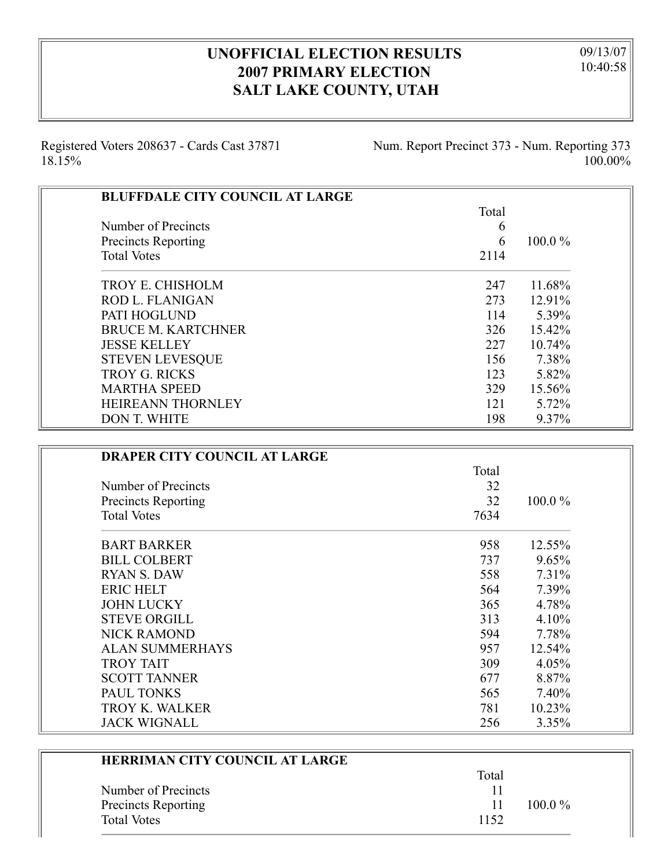## **UNOFFICIAL ELECTION RESULTS 2007 PRIMARY ELECTION SALT LAKE COUNTY, UTAH**

09/13/07 10:40:58

Registered Voters 208637 - Cards Cast 37871 18.15%

۳

Num. Report Precinct 373 - Num. Reporting 373 100.00%

| <b>BLUFFDALE CITY COUNCIL AT LARGE</b> |       |           |
|----------------------------------------|-------|-----------|
|                                        | Total |           |
| Number of Precincts                    | 6     |           |
| <b>Precincts Reporting</b>             | 6     | $100.0\%$ |
| <b>Total Votes</b>                     | 2114  |           |
| <b>TROY E. CHISHOLM</b>                | 247   | 11.68%    |
| <b>ROD L. FLANIGAN</b>                 | 273   | 12.91%    |
| PATI HOGLUND                           | 114   | 5.39%     |
| <b>BRUCE M. KARTCHNER</b>              | 326   | 15.42%    |
| <b>JESSE KELLEY</b>                    | 227   | 10.74%    |
| <b>STEVEN LEVESQUE</b>                 | 156   | 7.38%     |
| <b>TROY G. RICKS</b>                   | 123   | 5.82%     |
| <b>MARTHA SPEED</b>                    | 329   | 15.56%    |
| HEIREANN THORNLEY                      | 121   | 5.72%     |
| <b>DON T. WHITE</b>                    | 198   | 9.37%     |

| <b>DRAPER CITY COUNCIL AT LARGE</b> |       |        |
|-------------------------------------|-------|--------|
|                                     | Total |        |
| Number of Precincts                 | 32    |        |
| <b>Precincts Reporting</b>          | 32    | 100.0% |
| <b>Total Votes</b>                  | 7634  |        |
| <b>BART BARKER</b>                  | 958   | 12.55% |
| <b>BILL COLBERT</b>                 | 737   | 9.65%  |
| RYAN S. DAW                         | 558   | 7.31%  |
| <b>ERIC HELT</b>                    | 564   | 7.39%  |
| <b>JOHN LUCKY</b>                   | 365   | 4.78%  |
| <b>STEVE ORGILL</b>                 | 313   | 4.10%  |
| <b>NICK RAMOND</b>                  | 594   | 7.78%  |
| <b>ALAN SUMMERHAYS</b>              | 957   | 12.54% |
| <b>TROY TAIT</b>                    | 309   | 4.05%  |
| <b>SCOTT TANNER</b>                 | 677   | 8.87%  |
| <b>PAUL TONKS</b>                   | 565   | 7.40%  |
| <b>TROY K. WALKER</b>               | 781   | 10.23% |
| <b>JACK WIGNALL</b>                 | 256   | 3.35%  |

| <b>HERRIMAN CITY COUNCIL AT LARGE</b> |       |           |
|---------------------------------------|-------|-----------|
|                                       | Total |           |
| Number of Precincts                   |       |           |
| Precincts Reporting                   | 11    | $100.0\%$ |
| <b>Total Votes</b>                    | 1152  |           |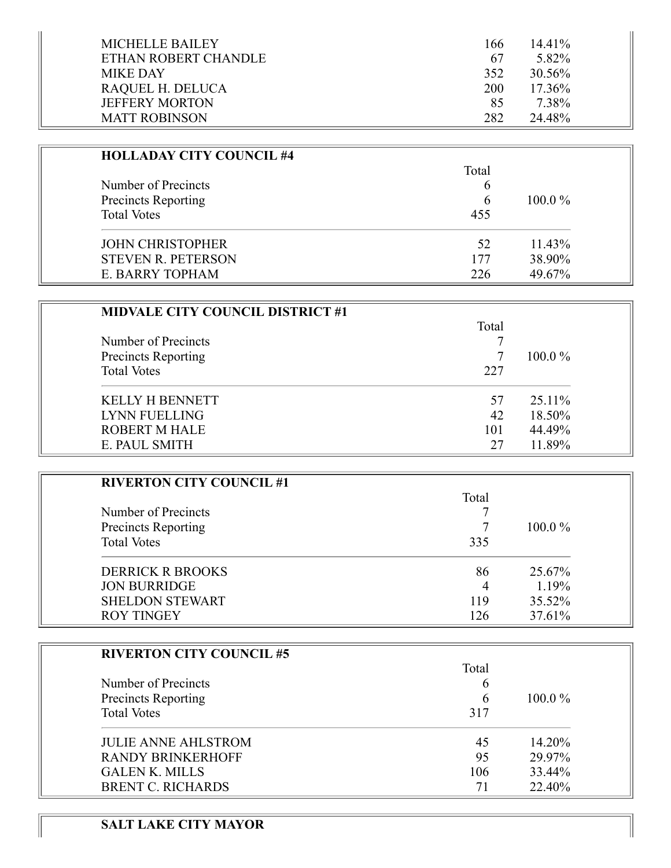| MICHELLE BAILEY       | 166 | $14.41\%$ |
|-----------------------|-----|-----------|
| ETHAN ROBERT CHANDLE  | 67  | 5.82%     |
| <b>MIKE DAY</b>       | 352 | 30.56%    |
| RAQUEL H. DELUCA      | 200 | $17.36\%$ |
| <b>JEFFERY MORTON</b> | 85  | 7.38%     |
| <b>MATT ROBINSON</b>  | 282 | 24.48%    |

| <b>HOLLADAY CITY COUNCIL #4</b>            |       |           |
|--------------------------------------------|-------|-----------|
| Number of Precincts<br>Precincts Reporting | Total | $100.0\%$ |
|                                            | 6     |           |
|                                            | 6     |           |
| <b>Total Votes</b>                         | 455   |           |
| <b>JOHN CHRISTOPHER</b>                    | 52    | $11.43\%$ |
| <b>STEVEN R. PETERSON</b>                  | 177   | 38.90%    |
| E. BARRY TOPHAM                            | 226   | 49.67%    |

| <b>MIDVALE CITY COUNCIL DISTRICT #1</b> |       |           |
|-----------------------------------------|-------|-----------|
|                                         | Total |           |
| Number of Precincts                     |       |           |
| Precincts Reporting                     |       | $100.0\%$ |
| <b>Total Votes</b>                      | 227   |           |
| <b>KELLY H BENNETT</b>                  | 57    | 25.11\%   |
| <b>LYNN FUELLING</b>                    | 42    | 18.50%    |
| <b>ROBERT M HALE</b>                    | 101   | 44.49%    |
| E. PAUL SMITH                           | 27    | 11.89%    |

| <b>RIVERTON CITY COUNCIL #1</b> |       |           |
|---------------------------------|-------|-----------|
|                                 | Total |           |
| Number of Precincts             |       |           |
| Precincts Reporting             |       | $100.0\%$ |
| <b>Total Votes</b>              | 335   |           |
| <b>DERRICK R BROOKS</b>         | 86    | 25.67%    |
| <b>JON BURRIDGE</b>             | 4     | 1.19%     |
| <b>SHELDON STEWART</b>          | 119   | 35.52%    |
| <b>ROY TINGEY</b>               | 126   | 37.61%    |

| <b>RIVERTON CITY COUNCIL #5</b> |       |           |
|---------------------------------|-------|-----------|
|                                 | Total |           |
| Number of Precincts             | O     |           |
| Precincts Reporting             | 6     | $100.0\%$ |
| <b>Total Votes</b>              | 317   |           |
| <b>JULIE ANNE AHLSTROM</b>      | 45    | 14.20%    |
| <b>RANDY BRINKERHOFF</b>        | 95    | 29.97%    |
| <b>GALEN K. MILLS</b>           | 106   | 33.44%    |
| <b>BRENT C. RICHARDS</b>        | 71    | 22.40%    |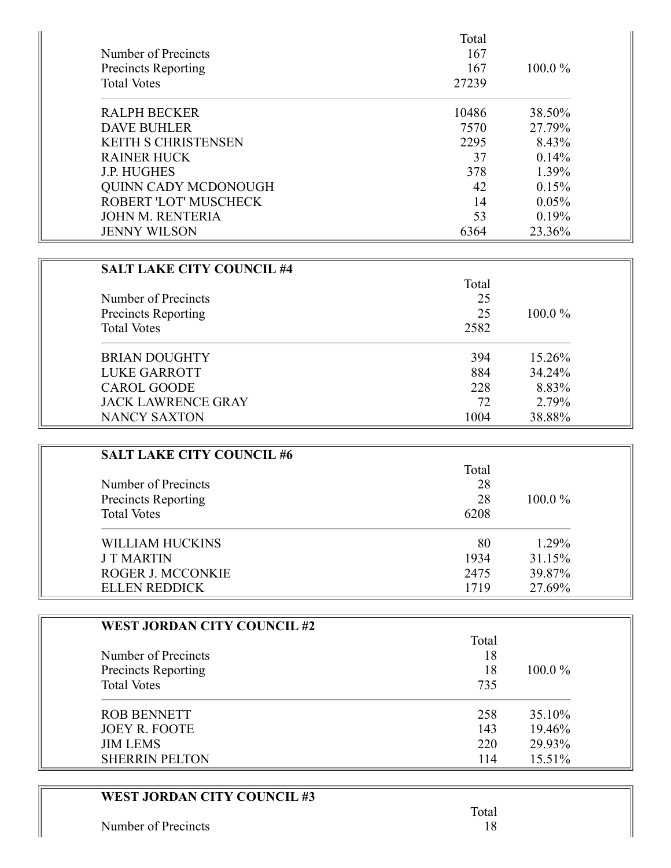| Number of Precincts<br>Precincts Reporting<br><b>Total Votes</b> | Total<br>167<br>167<br>27239 | $100.0\%$ |
|------------------------------------------------------------------|------------------------------|-----------|
| <b>RALPH BECKER</b>                                              | 10486                        | 38.50%    |
| <b>DAVE BUHLER</b>                                               | 7570                         | 27.79%    |
| <b>KEITH S CHRISTENSEN</b>                                       | 2295                         | 8.43%     |
| <b>RAINER HUCK</b>                                               | 37                           | 0.14%     |
| <b>J.P. HUGHES</b>                                               | 378                          | 1.39%     |
| <b>QUINN CADY MCDONOUGH</b>                                      | 42                           | 0.15%     |
| <b>ROBERT 'LOT' MUSCHECK</b>                                     | 14                           | 0.05%     |
| <b>JOHN M. RENTERIA</b>                                          | 53                           | 0.19%     |
| <b>JENNY WILSON</b>                                              | 6364                         | 23.36%    |

| <b>SALT LAKE CITY COUNCIL #4</b> | Total |           |
|----------------------------------|-------|-----------|
| Number of Precincts              | 25    |           |
| <b>Precincts Reporting</b>       | 25    | $100.0\%$ |
| <b>Total Votes</b>               | 2582  |           |
| <b>BRIAN DOUGHTY</b>             | 394   | 15.26%    |
| <b>LUKE GARROTT</b>              | 884   | 34.24%    |
| <b>CAROL GOODE</b>               | 228   | 8.83%     |
| <b>JACK LAWRENCE GRAY</b>        | 72    | 2.79%     |
| NANCY SAXTON                     | 1004  | 38.88%    |

| <b>SALT LAKE CITY COUNCIL #6</b> |       |           |
|----------------------------------|-------|-----------|
|                                  | Total |           |
| Number of Precincts              | 28    |           |
| Precincts Reporting              | 28    | $100.0\%$ |
| <b>Total Votes</b>               | 6208  |           |
| WILLIAM HUCKINS                  | 80    | 1.29%     |
| <b>J T MARTIN</b>                | 1934  | 31.15%    |
| ROGER J. MCCONKIE                | 2475  | 39.87%    |
| <b>ELLEN REDDICK</b>             | 1719  | 27.69%    |

| <b>WEST JORDAN CITY COUNCIL #2</b> |       |           |
|------------------------------------|-------|-----------|
|                                    | Total |           |
| Number of Precincts                | 18    |           |
| <b>Precincts Reporting</b>         | 18    | $100.0\%$ |
| <b>Total Votes</b>                 | 735   |           |
| <b>ROB BENNETT</b>                 | 258   | 35.10%    |
| <b>JOEY R. FOOTE</b>               | 143   | 19.46%    |
| <b>JIM LEMS</b>                    | 220   | 29.93%    |
| <b>SHERRIN PELTON</b>              | 114   | 15.51%    |

## **WEST JORDAN CITY COUNCIL #3**